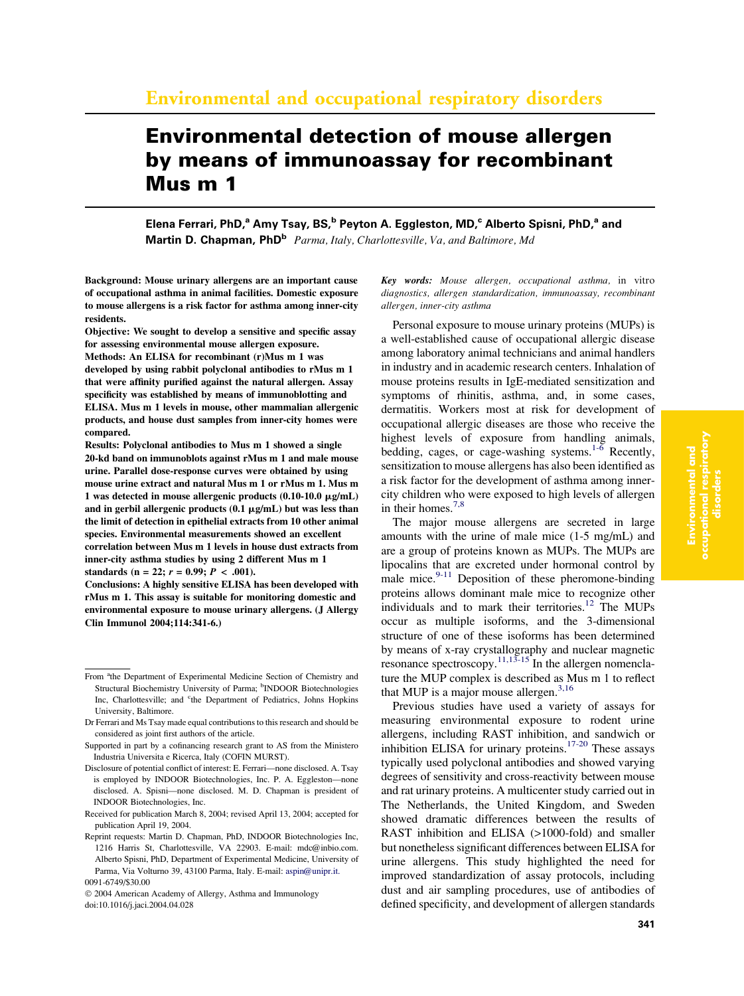# Environmental detection of mouse allergen by means of immunoassay for recombinant Mus m 1

Elena Ferrari, PhD,<sup>a</sup> Amy Tsay, BS,<sup>b</sup> Peyton A. Eggleston, MD,<sup>c</sup> Alberto Spisni, PhD,<sup>a</sup> and Martin D. Chapman, PhD<sup>b</sup> Parma, Italy, Charlottesville, Va, and Baltimore, Md

Background: Mouse urinary allergens are an important cause of occupational asthma in animal facilities. Domestic exposure to mouse allergens is a risk factor for asthma among inner-city residents.

Objective: We sought to develop a sensitive and specific assay for assessing environmental mouse allergen exposure. Methods: An ELISA for recombinant (r)Mus m 1 was developed by using rabbit polyclonal antibodies to rMus m 1 that were affinity purified against the natural allergen. Assay specificity was established by means of immunoblotting and ELISA. Mus m 1 levels in mouse, other mammalian allergenic products, and house dust samples from inner-city homes were compared.

Results: Polyclonal antibodies to Mus m 1 showed a single 20-kd band on immunoblots against rMus m 1 and male mouse urine. Parallel dose-response curves were obtained by using mouse urine extract and natural Mus m 1 or rMus m 1. Mus m 1 was detected in mouse allergenic products  $(0.10-10.0 \text{ }\mu\text{g/mL})$ and in gerbil allergenic products  $(0.1 \mu g/mL)$  but was less than the limit of detection in epithelial extracts from 10 other animal species. Environmental measurements showed an excellent correlation between Mus m 1 levels in house dust extracts from inner-city asthma studies by using 2 different Mus m 1 standards (n = 22;  $r = 0.99$ ;  $P < .001$ ).

Conclusions: A highly sensitive ELISA has been developed with rMus m 1. This assay is suitable for monitoring domestic and environmental exposure to mouse urinary allergens. (J Allergy Clin Immunol 2004;114:341-6.)

Key words: Mouse allergen, occupational asthma, in vitro diagnostics, allergen standardization, immunoassay, recombinant allergen, inner-city asthma

Personal exposure to mouse urinary proteins (MUPs) is a well-established cause of occupational allergic disease among laboratory animal technicians and animal handlers in industry and in academic research centers. Inhalation of mouse proteins results in IgE-mediated sensitization and symptoms of rhinitis, asthma, and, in some cases, dermatitis. Workers most at risk for development of occupational allergic diseases are those who receive the highest levels of exposure from handling animals, bedding, cages, or cage-washing systems.<sup>1- $\overline{6}$ </sup> Recently, sensitization to mouse allergens has also been identified as a risk factor for the development of asthma among innercity children who were exposed to high levels of allergen in their homes.<sup>[7,8](#page-5-0)</sup>

The major mouse allergens are secreted in large amounts with the urine of male mice (1-5 mg/mL) and are a group of proteins known as MUPs. The MUPs are lipocalins that are excreted under hormonal control by male mice. $9-11$  Deposition of these pheromone-binding proteins allows dominant male mice to recognize other individuals and to mark their territories.<sup>[12](#page-5-0)</sup> The MUPs occur as multiple isoforms, and the 3-dimensional structure of one of these isoforms has been determined by means of x-ray crystallography and nuclear magnetic resonance spectroscopy.<sup>[11,13-15](#page-5-0)</sup> In the allergen nomenclature the MUP complex is described as Mus m 1 to reflect that MUP is a major mouse allergen. $3,16$ 

Previous studies have used a variety of assays for measuring environmental exposure to rodent urine allergens, including RAST inhibition, and sandwich or inhibition ELISA for urinary proteins.<sup>[17-20](#page-5-0)</sup> These assays typically used polyclonal antibodies and showed varying degrees of sensitivity and cross-reactivity between mouse and rat urinary proteins. A multicenter study carried out in The Netherlands, the United Kingdom, and Sweden showed dramatic differences between the results of RAST inhibition and ELISA (>1000-fold) and smaller but nonetheless significant differences between ELISA for urine allergens. This study highlighted the need for improved standardization of assay protocols, including dust and air sampling procedures, use of antibodies of defined specificity, and development of allergen standards

From <sup>a</sup>the Department of Experimental Medicine Section of Chemistry and Structural Biochemistry University of Parma; <sup>b</sup>INDOOR Biotechnologies Inc, Charlottesville; and <sup>c</sup>the Department of Pediatrics, Johns Hopkins University, Baltimore.

Dr Ferrari and Ms Tsay made equal contributions to this research and should be considered as joint first authors of the article.

Supported in part by a cofinancing research grant to AS from the Ministero Industria Universita e Ricerca, Italy (COFIN MURST).

Disclosure of potential conflict of interest: E. Ferrari—none disclosed. A. Tsay is employed by INDOOR Biotechnologies, Inc. P. A. Eggleston—none disclosed. A. Spisni—none disclosed. M. D. Chapman is president of INDOOR Biotechnologies, Inc.

Received for publication March 8, 2004; revised April 13, 2004; accepted for publication April 19, 2004.

Reprint requests: Martin D. Chapman, PhD, INDOOR Biotechnologies Inc, 1216 Harris St, Charlottesville, VA 22903. E-mail: mdc@inbio.com. Alberto Spisni, PhD, Department of Experimental Medicine, University of Parma, Via Volturno 39, 43100 Parma, Italy. E-mail: [aspin@unipr.it.](mailto:aspin@unipr.it) 0091-6749/\$30.00

2004 American Academy of Allergy, Asthma and Immunology doi:10.1016/j.jaci.2004.04.028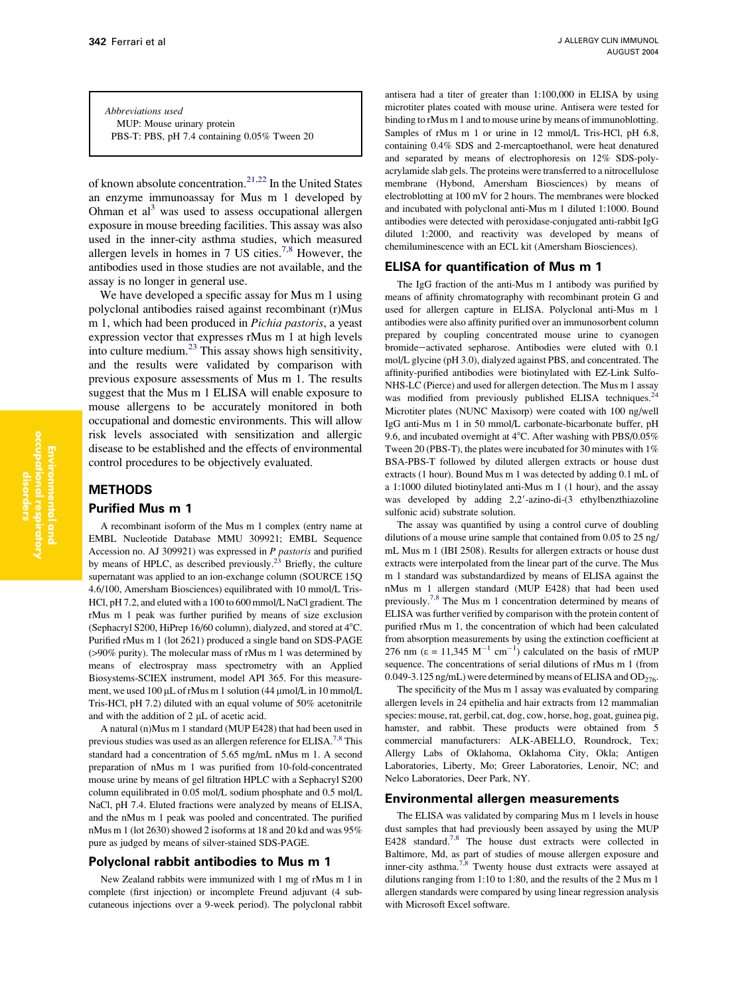Abbreviations used MUP: Mouse urinary protein PBS-T: PBS, pH 7.4 containing 0.05% Tween 20

of known absolute concentration.<sup>[21,22](#page-5-0)</sup> In the United States an enzyme immunoassay for Mus m 1 developed by Ohman et  $al<sup>3</sup>$  was used to assess occupational allergen exposure in mouse breeding facilities. This assay was also used in the inner-city asthma studies, which measured allergen levels in homes in 7 US cities.<sup>[7,8](#page-5-0)</sup> However, the antibodies used in those studies are not available, and the assay is no longer in general use.

We have developed a specific assay for Mus m 1 using polyclonal antibodies raised against recombinant (r)Mus m 1, which had been produced in Pichia pastoris, a yeast expression vector that expresses rMus m 1 at high levels into culture medium.[23](#page-5-0) This assay shows high sensitivity, and the results were validated by comparison with previous exposure assessments of Mus m 1. The results suggest that the Mus m 1 ELISA will enable exposure to mouse allergens to be accurately monitored in both occupational and domestic environments. This will allow risk levels associated with sensitization and allergic disease to be established and the effects of environmental control procedures to be objectively evaluated.

## **METHODS**

## Purified Mus m 1

A recombinant isoform of the Mus m 1 complex (entry name at EMBL Nucleotide Database MMU 309921; EMBL Sequence Accession no. AJ 309921) was expressed in *P pastoris* and purified<br>by means of HPLC, as described previously.<sup>23</sup> Briefly, the culture supernatant was applied to an ion-exchange column (SOURCE 15Q 4.6/100, Amersham Biosciences) equilibrated with 10 mmol/L Tris-HCl, pH 7.2, and eluted with a 100 to 600 mmol/L NaCl gradient. The rMus m 1 peak was further purified by means of size exclusion (Sephacryl S200, HiPrep 16/60 column), dialyzed, and stored at  $4^{\circ}$ C. Purified rMus m 1 (lot 2621) produced a single band on SDS-PAGE (>90% purity). The molecular mass of rMus m 1 was determined by means of electrospray mass spectrometry with an Applied Biosystems-SCIEX instrument, model API 365. For this measurement, we used 100  $\mu$ L of rMus m 1 solution (44  $\mu$ mol/L in 10 mmol/L Tris-HCl, pH 7.2) diluted with an equal volume of 50% acetonitrile and with the addition of  $2 \mu L$  of acetic acid.

A natural (n)Mus m 1 standard (MUP E428) that had been used in previous studies was used as an allergen reference for ELISA.<sup>[7,8](#page-5-0)</sup> This standard had a concentration of 5.65 mg/mL nMus m 1. A second preparation of nMus m 1 was purified from 10-fold-concentrated mouse urine by means of gel filtration HPLC with a Sephacryl S200 column equilibrated in 0.05 mol/L sodium phosphate and 0.5 mol/L NaCl, pH 7.4. Eluted fractions were analyzed by means of ELISA, and the nMus m 1 peak was pooled and concentrated. The purified nMus m 1 (lot 2630) showed 2 isoforms at 18 and 20 kd and was 95% pure as judged by means of silver-stained SDS-PAGE.

### Polyclonal rabbit antibodies to Mus m 1

New Zealand rabbits were immunized with 1 mg of rMus m 1 in complete (first injection) or incomplete Freund adjuvant (4 subcutaneous injections over a 9-week period). The polyclonal rabbit antisera had a titer of greater than 1:100,000 in ELISA by using microtiter plates coated with mouse urine. Antisera were tested for binding to rMus m 1 and to mouse urine by means of immunoblotting. Samples of rMus m 1 or urine in 12 mmol/L Tris-HCl, pH 6.8, containing 0.4% SDS and 2-mercaptoethanol, were heat denatured and separated by means of electrophoresis on 12% SDS-polyacrylamide slab gels. The proteins were transferred to a nitrocellulose membrane (Hybond, Amersham Biosciences) by means of electroblotting at 100 mV for 2 hours. The membranes were blocked and incubated with polyclonal anti-Mus m 1 diluted 1:1000. Bound antibodies were detected with peroxidase-conjugated anti-rabbit IgG diluted 1:2000, and reactivity was developed by means of chemiluminescence with an ECL kit (Amersham Biosciences).

### ELISA for quantification of Mus m 1

The IgG fraction of the anti-Mus m 1 antibody was purified by means of affinity chromatography with recombinant protein G and used for allergen capture in ELISA. Polyclonal anti-Mus m 1 antibodies were also affinity purified over an immunosorbent column prepared by coupling concentrated mouse urine to cyanogen bromide-activated sepharose. Antibodies were eluted with 0.1 mol/L glycine (pH 3.0), dialyzed against PBS, and concentrated. The affinity-purified antibodies were biotinylated with EZ-Link Sulfo-NHS-LC (Pierce) and used for allergen detection. The Mus m 1 assay was modified from previously published ELISA techniques.<sup>2</sup> Microtiter plates (NUNC Maxisorp) were coated with 100 ng/well IgG anti-Mus m 1 in 50 mmol/L carbonate-bicarbonate buffer, pH 9.6, and incubated overnight at  $4^{\circ}$ C. After washing with PBS/0.05% Tween 20 (PBS-T), the plates were incubated for 30 minutes with 1% BSA-PBS-T followed by diluted allergen extracts or house dust extracts (1 hour). Bound Mus m 1 was detected by adding 0.1 mL of a 1:1000 diluted biotinylated anti-Mus m 1 (1 hour), and the assay was developed by adding  $2,2'$ -azino-di- $(3$  ethylbenzthiazoline sulfonic acid) substrate solution.

The assay was quantified by using a control curve of doubling dilutions of a mouse urine sample that contained from 0.05 to 25 ng/ mL Mus m 1 (IBI 2508). Results for allergen extracts or house dust extracts were interpolated from the linear part of the curve. The Mus m 1 standard was substandardized by means of ELISA against the nMus m 1 allergen standard (MUP E428) that had been used previously[.7,8](#page-5-0) The Mus m 1 concentration determined by means of ELISA was further verified by comparison with the protein content of purified rMus m 1, the concentration of which had been calculated from absorption measurements by using the extinction coefficient at 276 nm ( $\varepsilon = 11,345$  M<sup>-1</sup> cm<sup>-1</sup>) calculated on the basis of rMUP sequence. The concentrations of serial dilutions of rMus m 1 (from 0.049-3.125 ng/mL) were determined by means of ELISA and  $OD<sub>276</sub>$ .

The specificity of the Mus m 1 assay was evaluated by comparing allergen levels in 24 epithelia and hair extracts from 12 mammalian species: mouse, rat, gerbil, cat, dog, cow, horse, hog, goat, guinea pig, hamster, and rabbit. These products were obtained from 5 commercial manufacturers: ALK-ABELLO, Roundrock, Tex; Allergy Labs of Oklahoma, Oklahoma City, Okla; Antigen Laboratories, Liberty, Mo; Greer Laboratories, Lenoir, NC; and Nelco Laboratories, Deer Park, NY.

#### Environmental allergen measurements

The ELISA was validated by comparing Mus m 1 levels in house dust samples that had previously been assayed by using the MUP E428 standard.<sup>[7,8](#page-5-0)</sup> The house dust extracts were collected in Baltimore, Md, as part of studies of mouse allergen exposure and inner-city asthma.<sup>7,8</sup> Twenty house dust extracts were assayed at dilutions ranging from 1:10 to 1:80, and the results of the 2 Mus m 1 allergen standards were compared by using linear regression analysis with Microsoft Excel software.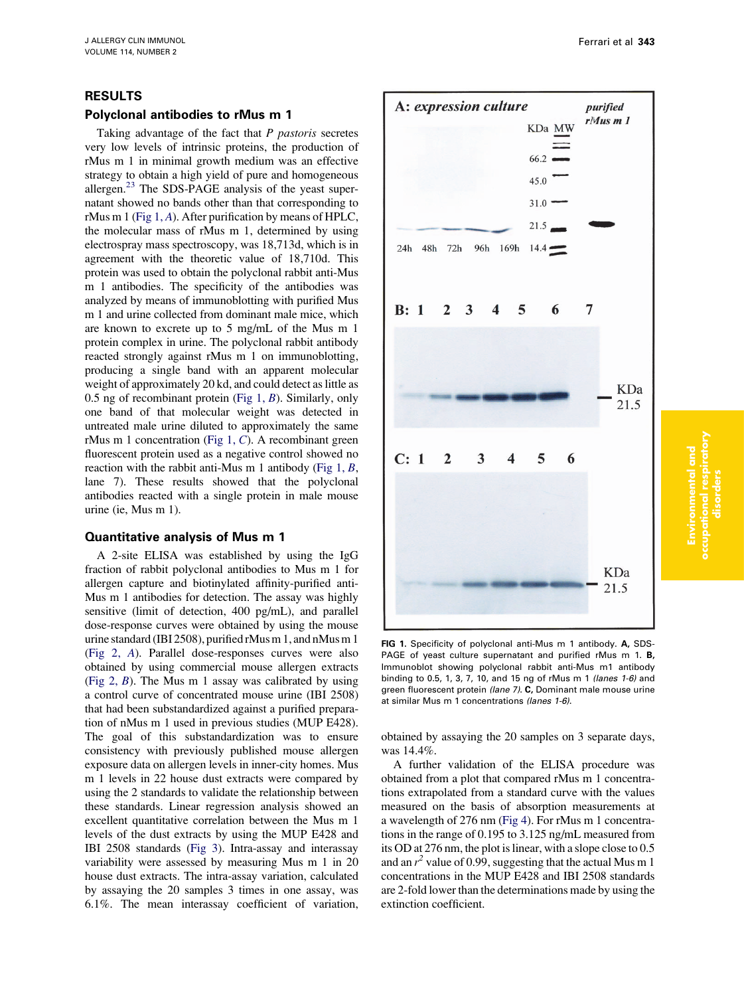## RESULTS

## Polyclonal antibodies to rMus m 1

Taking advantage of the fact that P pastoris secretes very low levels of intrinsic proteins, the production of rMus m 1 in minimal growth medium was an effective strategy to obtain a high yield of pure and homogeneous allergen. $^{23}$  $^{23}$  $^{23}$  The SDS-PAGE analysis of the yeast supernatant showed no bands other than that corresponding to rMus m 1 (Fig 1, A). After purification by means of HPLC, the molecular mass of rMus m 1, determined by using electrospray mass spectroscopy, was 18,713d, which is in agreement with the theoretic value of 18,710d. This protein was used to obtain the polyclonal rabbit anti-Mus m 1 antibodies. The specificity of the antibodies was analyzed by means of immunoblotting with purified Mus m 1 and urine collected from dominant male mice, which are known to excrete up to 5 mg/mL of the Mus m 1 protein complex in urine. The polyclonal rabbit antibody reacted strongly against rMus m 1 on immunoblotting, producing a single band with an apparent molecular weight of approximately 20 kd, and could detect as little as 0.5 ng of recombinant protein (Fig 1,  $B$ ). Similarly, only one band of that molecular weight was detected in untreated male urine diluted to approximately the same rMus m 1 concentration (Fig 1, C). A recombinant green fluorescent protein used as a negative control showed no reaction with the rabbit anti-Mus m 1 antibody (Fig  $1, B$ , lane 7). These results showed that the polyclonal antibodies reacted with a single protein in male mouse urine (ie, Mus m 1).

## Quantitative analysis of Mus m 1

A 2-site ELISA was established by using the IgG fraction of rabbit polyclonal antibodies to Mus m 1 for allergen capture and biotinylated affinity-purified anti-Mus m 1 antibodies for detection. The assay was highly sensitive (limit of detection, 400 pg/mL), and parallel dose-response curves were obtained by using the mouse urine standard (IBI 2508), purified rMus m 1, and nMus m 1 ([Fig 2,](#page-3-0) A). Parallel dose-responses curves were also obtained by using commercial mouse allergen extracts ([Fig 2,](#page-3-0)  $B$ ). The Mus m 1 assay was calibrated by using a control curve of concentrated mouse urine (IBI 2508) that had been substandardized against a purified preparation of nMus m 1 used in previous studies (MUP E428). The goal of this substandardization was to ensure consistency with previously published mouse allergen exposure data on allergen levels in inner-city homes. Mus m 1 levels in 22 house dust extracts were compared by using the 2 standards to validate the relationship between these standards. Linear regression analysis showed an excellent quantitative correlation between the Mus m 1 levels of the dust extracts by using the MUP E428 and IBI 2508 standards ([Fig 3](#page-3-0)). Intra-assay and interassay variability were assessed by measuring Mus m 1 in 20 house dust extracts. The intra-assay variation, calculated by assaying the 20 samples 3 times in one assay, was 6.1%. The mean interassay coefficient of variation,



FIG 1. Specificity of polyclonal anti-Mus m 1 antibody. A, SDS-PAGE of yeast culture supernatant and purified rMus m 1. B, Immunoblot showing polyclonal rabbit anti-Mus m1 antibody binding to 0.5, 1, 3, 7, 10, and 15 ng of rMus m 1 (lanes 1-6) and green fluorescent protein (lane 7). C, Dominant male mouse urine at similar Mus m 1 concentrations (lanes 1-6).

obtained by assaying the 20 samples on 3 separate days, was 14.4%.

A further validation of the ELISA procedure was obtained from a plot that compared rMus m 1 concentrations extrapolated from a standard curve with the values measured on the basis of absorption measurements at a wavelength of 276 nm [\(Fig 4\)](#page-3-0). For rMus m 1 concentrations in the range of 0.195 to 3.125 ng/mL measured from its OD at 276 nm, the plot is linear, with a slope close to 0.5 and an  $r^2$  value of 0.99, suggesting that the actual Mus m 1 concentrations in the MUP E428 and IBI 2508 standards are 2-fold lower than the determinations made by using the extinction coefficient.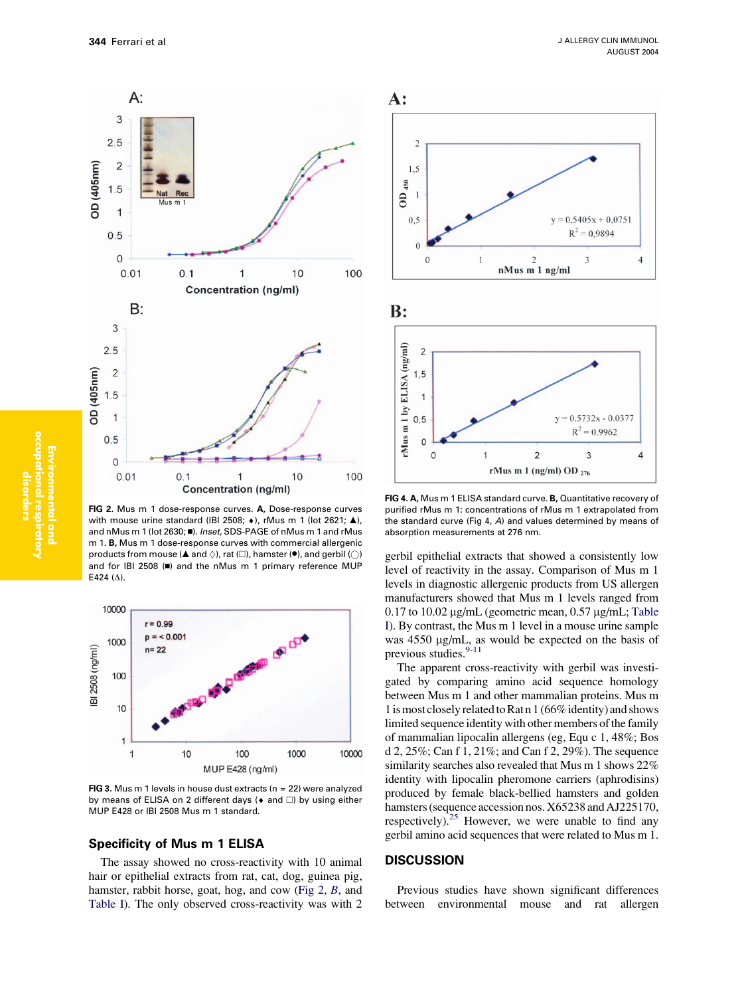<span id="page-3-0"></span>

FIG 2. Mus m 1 dose-response curves. A, Dose-response curves with mouse urine standard (IBI 2508;  $\leftrightarrow$ ), rMus m 1 (lot 2621;  $\triangle$ ), and nMus m 1 (lot 2630;  $\blacksquare$ ). Inset, SDS-PAGE of nMus m 1 and rMus m 1. B, Mus m 1 dose-response curves with commercial allergenic products from mouse ( $\blacktriangle$  and  $\diamondsuit$ ), rat ( $\square$ ), hamster ( $\blacklozenge$ ), and gerbil ( $\bigcirc$ ) and for IBI 2508 ( $\blacksquare$ ) and the nMus m 1 primary reference MUP E424 $(\Delta)$ .



FIG 3. Mus m 1 levels in house dust extracts ( $n = 22$ ) were analyzed by means of ELISA on 2 different days ( $\bullet$  and  $\square$ ) by using either MUP E428 or IBI 2508 Mus m 1 standard.

## Specificity of Mus m 1 ELISA

The assay showed no cross-reactivity with 10 animal hair or epithelial extracts from rat, cat, dog, guinea pig, hamster, rabbit horse, goat, hog, and cow (Fig 2, B, and [Table I](#page-4-0)). The only observed cross-reactivity was with 2



FIG 4. A, Mus m 1 ELISA standard curve. B, Quantitative recovery of purified rMus m 1: concentrations of rMus m 1 extrapolated from the standard curve (Fig 4, A) and values determined by means of absorption measurements at 276 nm.

gerbil epithelial extracts that showed a consistently low level of reactivity in the assay. Comparison of Mus m 1 levels in diagnostic allergenic products from US allergen manufacturers showed that Mus m 1 levels ranged from 0.17 to 10.02  $\mu$ g/mL (geometric mean, 0.57  $\mu$ g/mL; [Table](#page-4-0) [I\)](#page-4-0). By contrast, the Mus m 1 level in a mouse urine sample was  $4550 \mu g/mL$ , as would be expected on the basis of previous studies.<sup>[9-11](#page-5-0)</sup>

The apparent cross-reactivity with gerbil was investigated by comparing amino acid sequence homology between Mus m 1 and other mammalian proteins. Mus m 1is most closely related to Rat n 1 (66% identity) and shows limited sequence identity with other members of the family of mammalian lipocalin allergens (eg, Equ c 1, 48%; Bos d 2, 25%; Can f 1, 21%; and Can f 2, 29%). The sequence similarity searches also revealed that Mus m 1 shows 22% identity with lipocalin pheromone carriers (aphrodisins) produced by female black-bellied hamsters and golden hamsters (sequence accession nos. X65238 and AJ225170, respectively). $25$  However, we were unable to find any gerbil amino acid sequences that were related to Mus m 1.

## **DISCUSSION**

Previous studies have shown significant differences between environmental mouse and rat allergen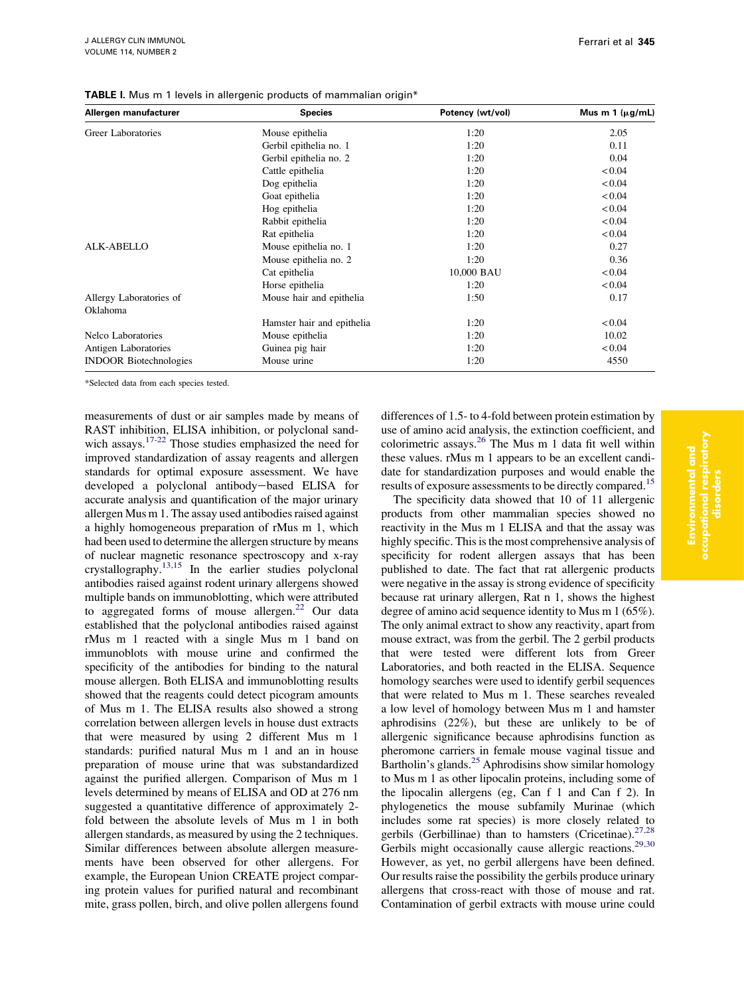| Allergen manufacturer         | <b>Species</b>             | Potency (wt/vol) | Mus m 1 $(\mu g/mL)$ |
|-------------------------------|----------------------------|------------------|----------------------|
| Greer Laboratories            | Mouse epithelia            | 1:20             | 2.05                 |
|                               | Gerbil epithelia no. 1     | 1:20             | 0.11                 |
|                               | Gerbil epithelia no. 2     | 1:20             | 0.04                 |
|                               | Cattle epithelia           | 1:20             | < 0.04               |
|                               | Dog epithelia              | 1:20             | < 0.04               |
|                               | Goat epithelia             | 1:20             | < 0.04               |
|                               | Hog epithelia              | 1:20             | < 0.04               |
|                               | Rabbit epithelia           | 1:20             | < 0.04               |
|                               | Rat epithelia              | 1:20             | < 0.04               |
| <b>ALK-ABELLO</b>             | Mouse epithelia no. 1      | 1:20             | 0.27                 |
|                               | Mouse epithelia no. 2      | 1:20             | 0.36                 |
|                               | Cat epithelia              | 10,000 BAU       | < 0.04               |
|                               | Horse epithelia            | 1:20             | < 0.04               |
| Allergy Laboratories of       | Mouse hair and epithelia   | 1:50             | 0.17                 |
| Oklahoma                      |                            |                  |                      |
|                               | Hamster hair and epithelia | 1:20             | < 0.04               |
| Nelco Laboratories            | Mouse epithelia            | 1:20             | 10.02                |
| Antigen Laboratories          | Guinea pig hair            | 1:20             | < 0.04               |
| <b>INDOOR Biotechnologies</b> | Mouse urine                | 1:20             | 4550                 |

<span id="page-4-0"></span>TABLE I. Mus m 1 levels in allergenic products of mammalian origin\*

\*Selected data from each species tested.

measurements of dust or air samples made by means of RAST inhibition, ELISA inhibition, or polyclonal sand-wich assays.<sup>[17-22](#page-5-0)</sup> Those studies emphasized the need for improved standardization of assay reagents and allergen standards for optimal exposure assessment. We have developed a polyclonal antibody-based ELISA for accurate analysis and quantification of the major urinary allergen Mus m 1. The assay used antibodies raised against a highly homogeneous preparation of rMus m 1, which had been used to determine the allergen structure by means of nuclear magnetic resonance spectroscopy and x-ray crystallography.<sup>[13,15](#page-5-0)</sup> In the earlier studies polyclonal antibodies raised against rodent urinary allergens showed multiple bands on immunoblotting, which were attributed to aggregated forms of mouse allergen.<sup>[22](#page-5-0)</sup> Our data established that the polyclonal antibodies raised against rMus m 1 reacted with a single Mus m 1 band on immunoblots with mouse urine and confirmed the specificity of the antibodies for binding to the natural mouse allergen. Both ELISA and immunoblotting results showed that the reagents could detect picogram amounts of Mus m 1. The ELISA results also showed a strong correlation between allergen levels in house dust extracts that were measured by using 2 different Mus m 1 standards: purified natural Mus m 1 and an in house preparation of mouse urine that was substandardized against the purified allergen. Comparison of Mus m 1 levels determined by means of ELISA and OD at 276 nm suggested a quantitative difference of approximately 2 fold between the absolute levels of Mus m 1 in both allergen standards, as measured by using the 2 techniques. Similar differences between absolute allergen measurements have been observed for other allergens. For example, the European Union CREATE project comparing protein values for purified natural and recombinant mite, grass pollen, birch, and olive pollen allergens found

differences of 1.5- to 4-fold between protein estimation by use of amino acid analysis, the extinction coefficient, and colorimetric assays.[26](#page-5-0) The Mus m 1 data fit well within these values. rMus m 1 appears to be an excellent candidate for standardization purposes and would enable the results of exposure assessments to be directly compared.<sup>[15](#page-5-0)</sup>

The specificity data showed that 10 of 11 allergenic products from other mammalian species showed no reactivity in the Mus m 1 ELISA and that the assay was highly specific. This is the most comprehensive analysis of specificity for rodent allergen assays that has been published to date. The fact that rat allergenic products were negative in the assay is strong evidence of specificity because rat urinary allergen, Rat n 1, shows the highest degree of amino acid sequence identity to Mus m 1 (65%). The only animal extract to show any reactivity, apart from mouse extract, was from the gerbil. The 2 gerbil products that were tested were different lots from Greer Laboratories, and both reacted in the ELISA. Sequence homology searches were used to identify gerbil sequences that were related to Mus m 1. These searches revealed a low level of homology between Mus m 1 and hamster aphrodisins (22%), but these are unlikely to be of allergenic significance because aphrodisins function as pheromone carriers in female mouse vaginal tissue and Bartholin's glands.<sup>[25](#page-5-0)</sup> Aphrodisins show similar homology to Mus m 1 as other lipocalin proteins, including some of the lipocalin allergens (eg, Can f 1 and Can f 2). In phylogenetics the mouse subfamily Murinae (which includes some rat species) is more closely related to gerbils (Gerbillinae) than to hamsters (Cricetinae).<sup>[27,28](#page-5-0)</sup> Gerbils might occasionally cause allergic reactions.<sup>[29,30](#page-5-0)</sup> However, as yet, no gerbil allergens have been defined. Our results raise the possibility the gerbils produce urinary allergens that cross-react with those of mouse and rat. Contamination of gerbil extracts with mouse urine could